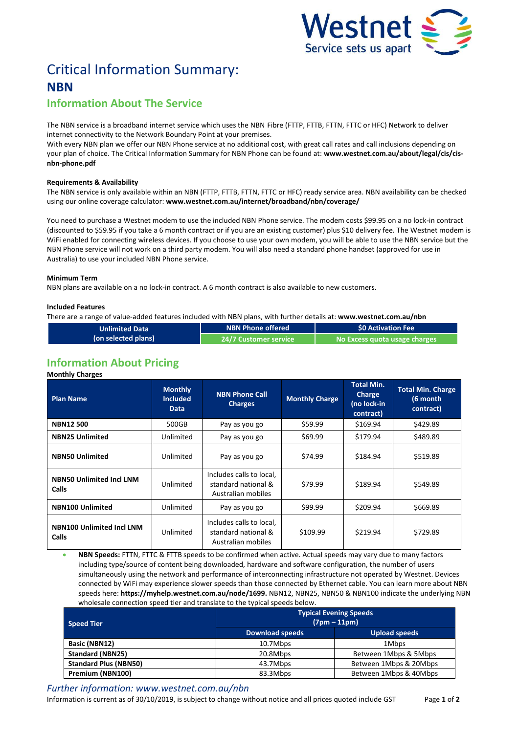

# Critical Information Summary: **NBN**

# **Information About The Service**

The NBN service is a broadband internet service which uses the NBNFibre (FTTP, FTTB, FTTN, FTTC or HFC) Network to deliver internet connectivity to the Network Boundary Point at your premises.

With every NBN plan we offer our NBN Phone service at no additional cost, with great call rates and call inclusions depending on your plan of choice. The Critical Information Summary for NBN Phone can be found at: **www.westnet.com.au/about/legal/cis/cisnbn-phone.pdf**

### **Requirements & Availability**

The NBN service is only available within an NBN (FTTP, FTTB, FTTN, FTTC or HFC) ready service area. NBN availability can be checked using our online coverage calculator: **www.westnet.com.au/internet/broadband/nbn/coverage/**

You need to purchase a Westnet modem to use the included NBN Phone service. The modem costs \$99.95 on a no lock-in contract (discounted to \$59.95 if you take a 6 month contract or if you are an existing customer) plus \$10 delivery fee. The Westnet modem is WiFi enabled for connecting wireless devices. If you choose to use your own modem, you will be able to use the NBN service but the NBN Phone service will not work on a third party modem. You will also need a standard phone handset (approved for use in Australia) to use your included NBN Phone service.

#### **Minimum Term**

NBN plans are available on a no lock-in contract. A 6 month contract is also available to new customers.

# **Included Features**

There are a range of value-added features included with NBN plans, with further details at: **www.westnet.com.au/nbn**

| <b>Unlimited Data</b> | NBN Phone offered '            | \$0 Activation Fee            |  |
|-----------------------|--------------------------------|-------------------------------|--|
| (on selected plans)   | 24/7 Customer service <b>\</b> | No Excess quota usage charges |  |

# **Information About Pricing**

#### **Monthly Charges**

| <b>Plan Name</b>                          | <b>Monthly</b><br><b>Included</b><br><b>Data</b> | <b>NBN Phone Call</b><br><b>Charges</b>                               | <b>Monthly Charge</b> | <b>Total Min.</b><br>Charge<br>(no lock-in<br>contract) | <b>Total Min. Charge</b><br>(6 month<br>contract) |
|-------------------------------------------|--------------------------------------------------|-----------------------------------------------------------------------|-----------------------|---------------------------------------------------------|---------------------------------------------------|
| <b>NBN12500</b>                           | 500GB                                            | \$59.99<br>Pay as you go                                              |                       | \$169.94                                                | \$429.89                                          |
| <b>NBN25 Unlimited</b>                    | Unlimited                                        | Pay as you go                                                         | \$69.99               | \$179.94                                                | \$489.89                                          |
| <b>NBN50 Unlimited</b>                    | Unlimited                                        | \$74.99<br>Pay as you go                                              |                       | \$184.94                                                | \$519.89                                          |
| <b>NBN50 Unlimited Incl LNM</b><br>Calls  | Unlimited                                        | Includes calls to local,<br>standard national &<br>Australian mobiles | \$79.99               | \$189.94                                                | \$549.89                                          |
| <b>NBN100 Unlimited</b>                   | Unlimited                                        | Pay as you go                                                         | \$99.99               | \$209.94                                                | \$669.89                                          |
| <b>NBN100 Unlimited Incl LNM</b><br>Calls | Unlimited                                        | Includes calls to local,<br>standard national &<br>Australian mobiles | \$109.99              | \$219.94                                                | \$729.89                                          |

 **NBN Speeds:** FTTN, FTTC & FTTB speeds to be confirmed when active. Actual speeds may vary due to many factors including type/source of content being downloaded, hardware and software configuration, the number of users simultaneously using the network and performance of interconnecting infrastructure not operated by Westnet. Devices connected by WiFi may experience slower speeds than those connected by Ethernet cable. You can learn more about NBN speeds here: **https://myhelp.westnet.com.au/node/1699.** NBN12, NBN25, NBN50 & NBN100 indicate the underlying NBN wholesale connection speed tier and translate to the typical speeds below.

| <b>Speed Tier</b>            | <b>Typical Evening Speeds</b><br>$(7pm - 11pm)$ |                        |  |  |
|------------------------------|-------------------------------------------------|------------------------|--|--|
|                              | <b>Download speeds</b>                          | <b>Upload speeds</b>   |  |  |
| Basic (NBN12)                | 10.7Mbps                                        | 1Mbps                  |  |  |
| <b>Standard (NBN25)</b>      | 20.8Mbps                                        | Between 1Mbps & 5Mbps  |  |  |
| <b>Standard Plus (NBN50)</b> | 43.7Mbps                                        | Between 1Mbps & 20Mbps |  |  |
| Premium (NBN100)             | 83.3Mbps                                        | Between 1Mbps & 40Mbps |  |  |

*Further information: www.westnet.com.au/nbn*

Information is current as of 30/10/2019, is subject to change without notice and all prices quoted include GST Page **1** of **2**